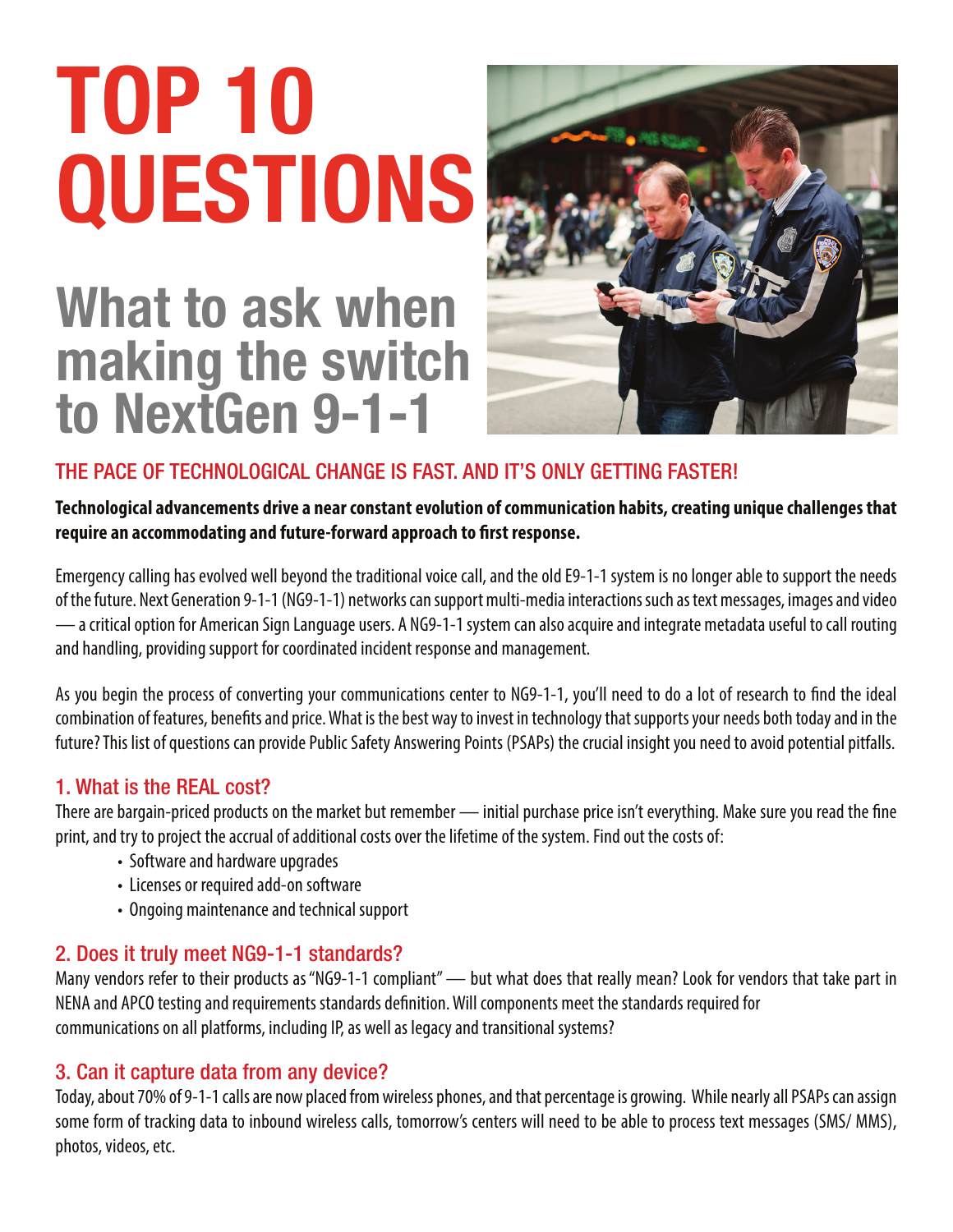# TOP 10 QUESTIONS

## What to ask when making the switch to NextGen 9-1-1



### THE PACE OF TECHNOLOGICAL CHANGE IS FAST. AND IT'S ONLY GETTING FASTER!

#### **Technological advancements drive a near constant evolution of communication habits, creating unique challenges that**  require an accommodating and future-forward approach to first response.

Emergency calling has evolved well beyond the traditional voice call, and the old E9‐1‐1 system is no longer able to support the needs of the future. Next Generation 9‐1‐1 (NG9‐1‐1) networks can support multi-media interactions such as text messages, images and video — a critical option for American Sign Language users. A NG9-1-1 system can also acquire and integrate metadata useful to call routing and handling, providing support for coordinated incident response and management.

As you begin the process of converting your communications center to NG9-1-1, you'll need to do a lot of research to find the ideal combination of features, benefits and price. What is the best way to invest in technology that supports your needs both today and in the future? This list of questions can provide Public Safety Answering Points (PSAPs) the crucial insight you need to avoid potential pitfalls.

#### 1. What is the REAL cost?

There are bargain-priced products on the market but remember — initial purchase price isn't everything. Make sure you read the fine print, and try to project the accrual of additional costs over the lifetime of the system. Find out the costs of:

- Software and hardware upgrades
- Licenses or required add-on software
- Ongoing maintenance and technical support

#### 2. Does it truly meet NG9-1-1 standards?

Many vendors refer to their products as "NG9-1-1 compliant" — but what does that really mean? Look for vendors that take part in NENA and APCO testing and requirements standards definition. Will components meet the standards required for communications on all platforms, including IP, as well as legacy and transitional systems?

#### 3. Can it capture data from any device?

Today, about 70% of 9-1-1 calls are now placed from wireless phones, and that percentage is growing. While nearly all PSAPs can assign some form of tracking data to inbound wireless calls, tomorrow's centers will need to be able to process text messages (SMS/ MMS), photos, videos, etc.